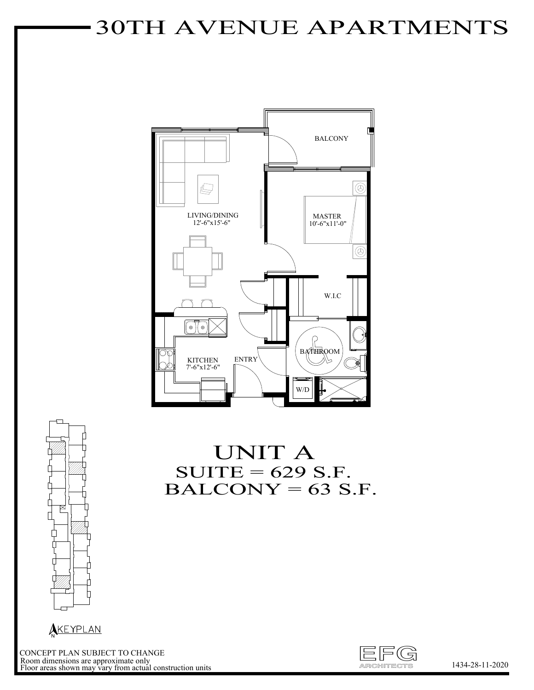# 30TH AVENUE APARTMENTS





N **N** 

UNIT A  $SUITE = 629 S.F.$  $BALCONY = 63 S.F.$ 



CONCEPT PLAN SUBJECT TO CHANGE Room dimensions are approximate only Floor areas shown may vary from actual construction units

1434-28-11-2020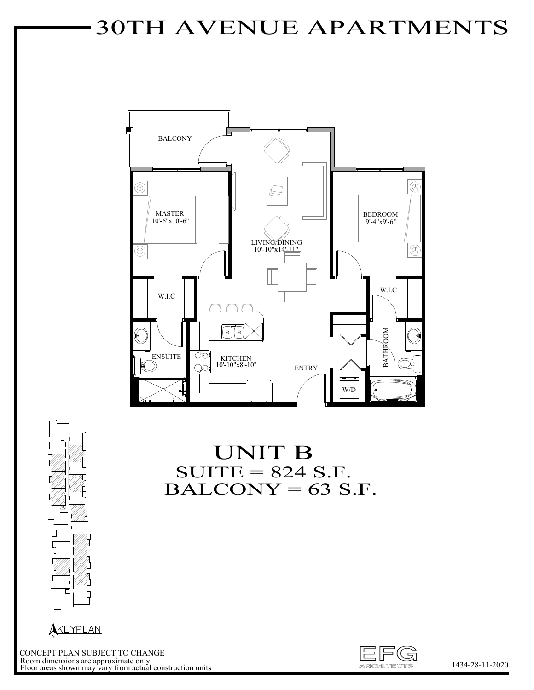# 30TH AVENUE APARTMENTS



Ŕ ⋔

UNIT B  $SUITE = 824 S.F.$  $BALCONY = 63 S.F.$ 



The CONCEPT PLAN SUBJECT TO CHANGE<br>Room dimensions are approximate only<br>Floor areas shown may vary from actual construction units 1434-28-11-2020 CONCEPT PLAN SUBJECT TO CHANGE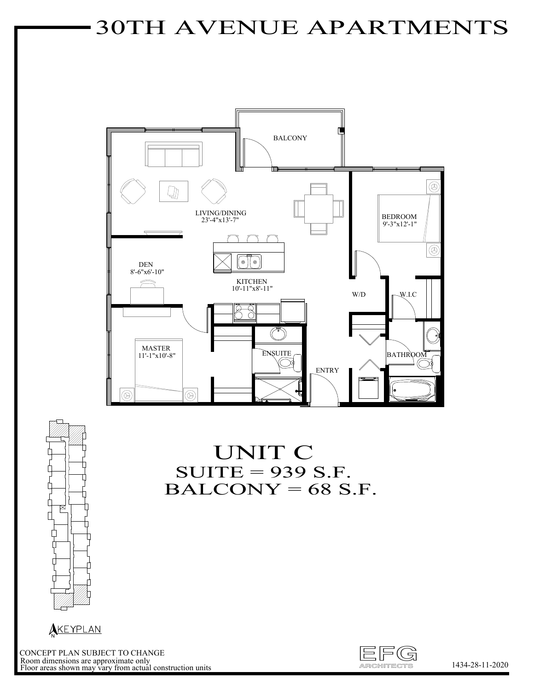# 30TH AVENUE APARTMENTS





#### UNIT C  $SUITE = 939 S.F.$  $BALCONY = 68 S.F.$